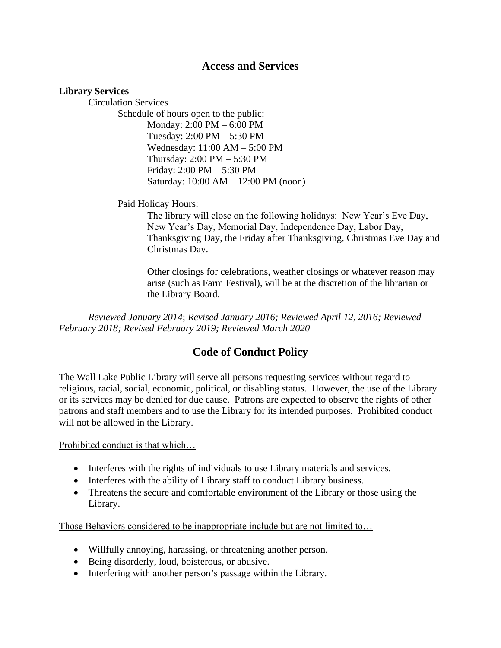## **Access and Services**

## **Library Services**

Circulation Services Schedule of hours open to the public: Monday: 2:00 PM – 6:00 PM Tuesday: 2:00 PM – 5:30 PM Wednesday: 11:00 AM – 5:00 PM Thursday: 2:00 PM – 5:30 PM Friday: 2:00 PM – 5:30 PM Saturday: 10:00 AM – 12:00 PM (noon)

Paid Holiday Hours:

The library will close on the following holidays: New Year's Eve Day, New Year's Day, Memorial Day, Independence Day, Labor Day, Thanksgiving Day, the Friday after Thanksgiving, Christmas Eve Day and Christmas Day.

Other closings for celebrations, weather closings or whatever reason may arise (such as Farm Festival), will be at the discretion of the librarian or the Library Board.

*Reviewed January 2014*; *Revised January 2016; Reviewed April 12, 2016; Reviewed February 2018; Revised February 2019; Reviewed March 2020*

## **Code of Conduct Policy**

The Wall Lake Public Library will serve all persons requesting services without regard to religious, racial, social, economic, political, or disabling status. However, the use of the Library or its services may be denied for due cause. Patrons are expected to observe the rights of other patrons and staff members and to use the Library for its intended purposes. Prohibited conduct will not be allowed in the Library.

Prohibited conduct is that which…

- Interferes with the rights of individuals to use Library materials and services.
- Interferes with the ability of Library staff to conduct Library business.
- Threatens the secure and comfortable environment of the Library or those using the Library.

Those Behaviors considered to be inappropriate include but are not limited to…

- Willfully annoying, harassing, or threatening another person.
- Being disorderly, loud, boisterous, or abusive.
- Interfering with another person's passage within the Library.